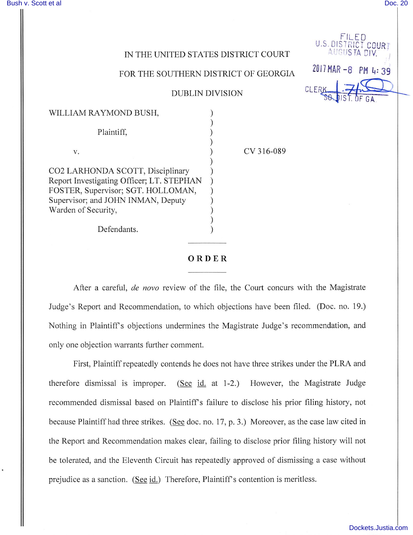FILED U.S. DISTRICT COURT

2017 MAR - 8 PM 4:39

CLEI

 $A$ UGUSTA DIV.  $\frac{1}{2}$ 

## IN THE UNITED STATES DISTRICT COURT

## FOR THE SOUTHERN DISTRICT OF GEORGIA

## DUBLIN DIVISION

| WILLIAM RAYMOND BUSH,                     |  |
|-------------------------------------------|--|
|                                           |  |
| Plaintiff,                                |  |
|                                           |  |
| $V_{-}$                                   |  |
|                                           |  |
| CO2 LARHONDA SCOTT, Disciplinary          |  |
| Report Investigating Officer; LT. STEPHAN |  |
| FOSTER, Supervisor; SGT. HOLLOMAN,        |  |
| Supervisor; and JOHN INMAN, Deputy        |  |
| Warden of Security,                       |  |
|                                           |  |
| Defendants.                               |  |

CV 316-089

## ORDER

After a careful, de novo review of the file, the Court concurs with the Magistrate Judge's Report and Recommendation, to which objections have been filed. (Doc. no. 19.) Nothing in Plaintiffs objections undermines the Magistrate Judge's recommendation, and only one objection warrants further comment.

First, Plaintiff repeatedly contends he does not have three strikes under the PLRA and therefore dismissal is improper. (See id. at 1-2.) However, the Magistrate Judge recommended dismissal based on Plaintiff's failure to disclose his prior filing history, not because Plaintiff had three strikes. (See doc. no. 17, p. 3.) Moreover, as the case law cited in the Report and Recommendation makes clear, failing to disclose prior filing history will not be tolerated, and the Eleventh Circuit has repeatedly approved of dismissing a case without prejudice as a sanction. (See id.) Therefore, Plaintiff's contention is meritless.